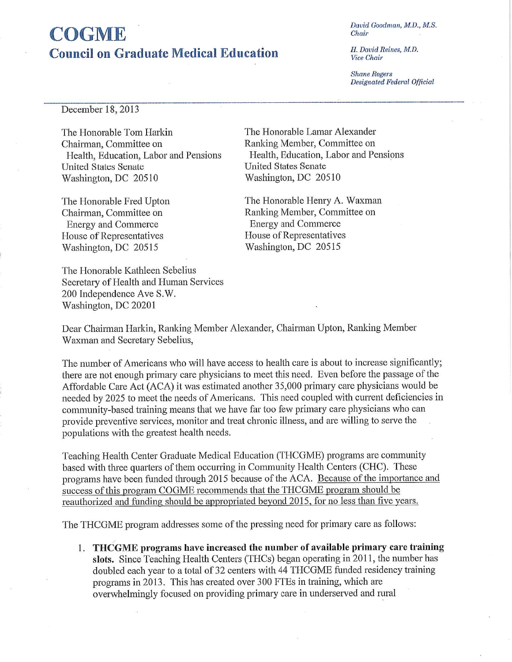## COGME **Council on Graduate Medical Education**

David Goodman, M.D., M.S. Chair

H. David Reines, M.D. **Vice Chair** 

**Shane Rogers** Designated Federal Official

December 18, 2013

The Honorable Tom Harkin Chairman, Committee on Health, Education, Labor and Pensions **United States Senate** Washington, DC 20510

The Honorable Fred Upton Chairman, Committee on **Energy and Commerce** House of Representatives Washington, DC 20515

The Honorable Kathleen Sebelius Secretary of Health and Human Services 200 Independence Ave S.W. Washington, DC 20201

The Honorable Lamar Alexander Ranking Member, Committee on Health, Education, Labor and Pensions **United States Senate** Washington, DC 20510

The Honorable Henry A. Waxman Ranking Member, Committee on **Energy and Commerce** House of Representatives Washington, DC 20515

Dear Chairman Harkin, Ranking Member Alexander, Chairman Upton, Ranking Member Waxman and Secretary Sebelius,

The number of Americans who will have access to health care is about to increase significantly; there are not enough primary care physicians to meet this need. Even before the passage of the Affordable Care Act (ACA) it was estimated another 35,000 primary care physicians would be needed by 2025 to meet the needs of Americans. This need coupled with current deficiencies in community-based training means that we have far too few primary care physicians who can provide preventive services, monitor and treat chronic illness, and are willing to serve the populations with the greatest health needs.

Teaching Health Center Graduate Medical Education (THCGME) programs are community based with three quarters of them occurring in Community Health Centers (CHC). These programs have been funded through 2015 because of the ACA. Because of the importance and success of this program COGME recommends that the THCGME program should be reauthorized and funding should be appropriated beyond 2015, for no less than five years.

The THCGME program addresses some of the pressing need for primary care as follows:

1. THCGME programs have increased the number of available primary care training slots. Since Teaching Health Centers (THCs) began operating in 2011, the number has doubled each year to a total of 32 centers with 44 THCGME funded residency training programs in 2013. This has created over 300 FTEs in training, which are overwhelmingly focused on providing primary care in underserved and rural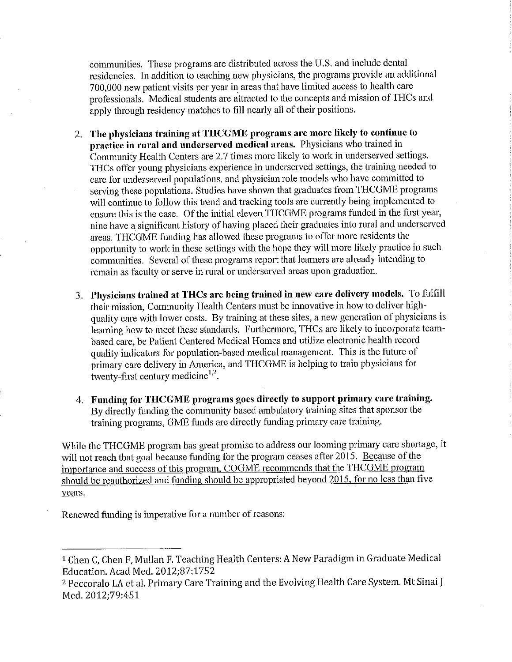communities. These programs are distributed across the U.S. and include dental residencies. In addition to teaching new physicians, the programs provide an additional 700,000 new patient visits per year in areas that have limited access to health care professionals. Medical students are attracted to the concepts and mission of THCs and apply through residency matches to fill nearly all of their positions.

- 2. The physicians training at THCGME programs are more likely to continue to practice in rural and underserved medical areas. Physicians who trained in Community Health Centers are 2.7 times more likely to work in underserved settings. THCs offer young physicians experience in underserved settings, the training needed to care for underserved populations, and physician role models who have committed to serving these populations. Studies have shown that graduates from THCGME programs will continue to follow this trend and tracking tools are currently being implemented to ensure this is the case. Of the initial eleven THCGME programs funded in the first year, nine have a significant history of having placed their graduates into rural and underserved areas. THCGME funding has allowed these programs to offer more residents the opportunity to work in these settings with the hope they will more likely practice in such communities. Several of these programs report that learners are already intending to remain as faculty or serve in rural or underserved areas upon graduation.
- 3. Physicians trained at THCs are being trained in new care delivery models. To fulfill their mission, Community Health Centers must be innovative in how to deliver highquality care with lower costs. By training at these sites, a new generation of physicians is learning how to meet these standards. Furthermore, THCs are likely to incorporate teambased care, be Patient Centered Medical Homes and utilize electronic health record quality indicators for population-based medical management. This is the future of primary care delivery in America, and THCGME is helping to train physicians for twenty-first century medicine<sup>1,2</sup>.
- 4. Funding for THCGME programs goes directly to support primary care training. By directly funding the community based ambulatory training sites that sponsor the training programs, GME funds are directly funding primary care training.

While the THCGME program has great promise to address our looming primary care shortage, it will not reach that goal because funding for the program ceases after 2015. Because of the importance and success of this program, COGME recommends that the THCGME program should be reauthorized and funding should be appropriated beyond 2015, for no less than five years.

Renewed funding is imperative for a number of reasons:

<sup>&</sup>lt;sup>1</sup> Chen C, Chen F, Mullan F. Teaching Health Centers: A New Paradigm in Graduate Medical Education. Acad Med. 2012;87:1752

<sup>&</sup>lt;sup>2</sup> Peccoralo LA et al. Primary Care Training and the Evolving Health Care System. Mt Sinai J Med. 2012;79:451